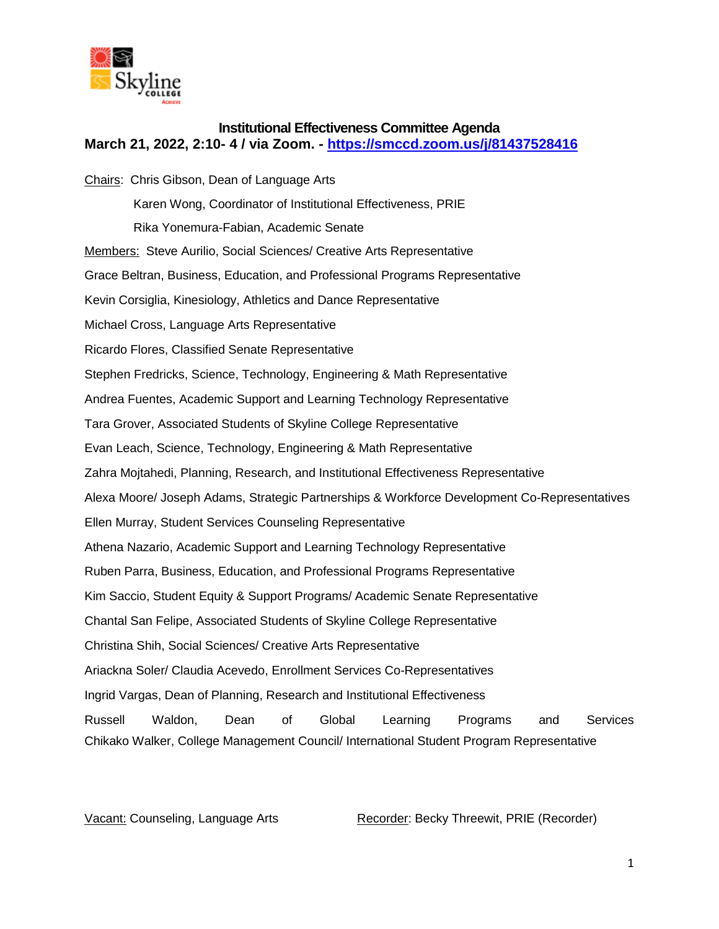

## **Institutional Effectiveness Committee Agenda March 21, 2022, 2:10- 4 / via Zoom. - <https://smccd.zoom.us/j/81437528416>**

Chairs: Chris Gibson, Dean of Language Arts Karen Wong, Coordinator of Institutional Effectiveness, PRIE Rika Yonemura-Fabian, Academic Senate Members: Steve Aurilio, Social Sciences/ Creative Arts Representative Grace Beltran, Business, Education, and Professional Programs Representative Kevin Corsiglia, Kinesiology, Athletics and Dance Representative Michael Cross, Language Arts Representative Ricardo Flores, Classified Senate Representative Stephen Fredricks, Science, Technology, Engineering & Math Representative Andrea Fuentes, Academic Support and Learning Technology Representative Tara Grover, Associated Students of Skyline College Representative Evan Leach, Science, Technology, Engineering & Math Representative Zahra Mojtahedi, Planning, Research, and Institutional Effectiveness Representative Alexa Moore/ Joseph Adams, Strategic Partnerships & Workforce Development Co-Representatives Ellen Murray, Student Services Counseling Representative Athena Nazario, Academic Support and Learning Technology Representative Ruben Parra, Business, Education, and Professional Programs Representative Kim Saccio, Student Equity & Support Programs/ Academic Senate Representative Chantal San Felipe, Associated Students of Skyline College Representative Christina Shih, Social Sciences/ Creative Arts Representative Ariackna Soler/ Claudia Acevedo, Enrollment Services Co-Representatives Ingrid Vargas, Dean of Planning, Research and Institutional Effectiveness Russell Waldon, Dean of Global Learning Programs and Services Chikako Walker, College Management Council/ International Student Program Representative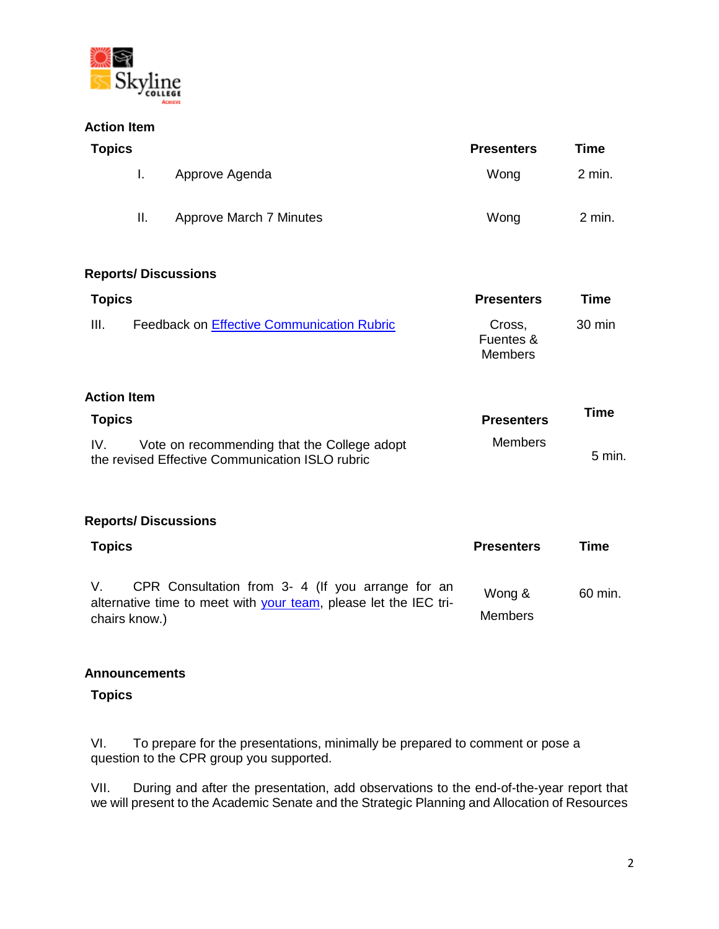

### **Action Item**

| <b>Topics</b>              |                                                                                                | <b>Presenters</b>                     | <b>Time</b>       |
|----------------------------|------------------------------------------------------------------------------------------------|---------------------------------------|-------------------|
| I.                         | Approve Agenda                                                                                 | Wong                                  | 2 min.            |
| Ш.                         | <b>Approve March 7 Minutes</b>                                                                 | Wong                                  | 2 min.            |
| <b>Reports/Discussions</b> |                                                                                                |                                       |                   |
| <b>Topics</b>              |                                                                                                | <b>Presenters</b>                     | Time              |
| III.                       | <b>Feedback on Effective Communication Rubric</b>                                              | Cross,<br>Fuentes &<br><b>Members</b> | 30 min            |
| <b>Action Item</b>         |                                                                                                |                                       |                   |
| <b>Topics</b>              |                                                                                                | <b>Presenters</b>                     | <b>Time</b>       |
| IV.                        | Vote on recommending that the College adopt<br>the revised Effective Communication ISLO rubric | <b>Members</b>                        | $5 \text{ min}$ . |
| <b>Reports/Discussions</b> |                                                                                                |                                       |                   |
| <b>Topics</b>              |                                                                                                | <b>Presenters</b>                     | <b>Time</b>       |

V. CPR Consultation from 3- 4 (If you arrange for an alternative time to meet with [your team,](https://www.skylinecollege.edu/iec/assets/agendas/2021-2022/2022-2023%20CPR%20Teams%20v3.pdf) please let the IEC trichairs know.) Wong & **Members** 60 min.

### **Announcements**

### **Topics**

VI. To prepare for the presentations, minimally be prepared to comment or pose a question to the CPR group you supported.

VII. During and after the presentation, add observations to the end-of-the-year report that we will present to the Academic Senate and the Strategic Planning and Allocation of Resources